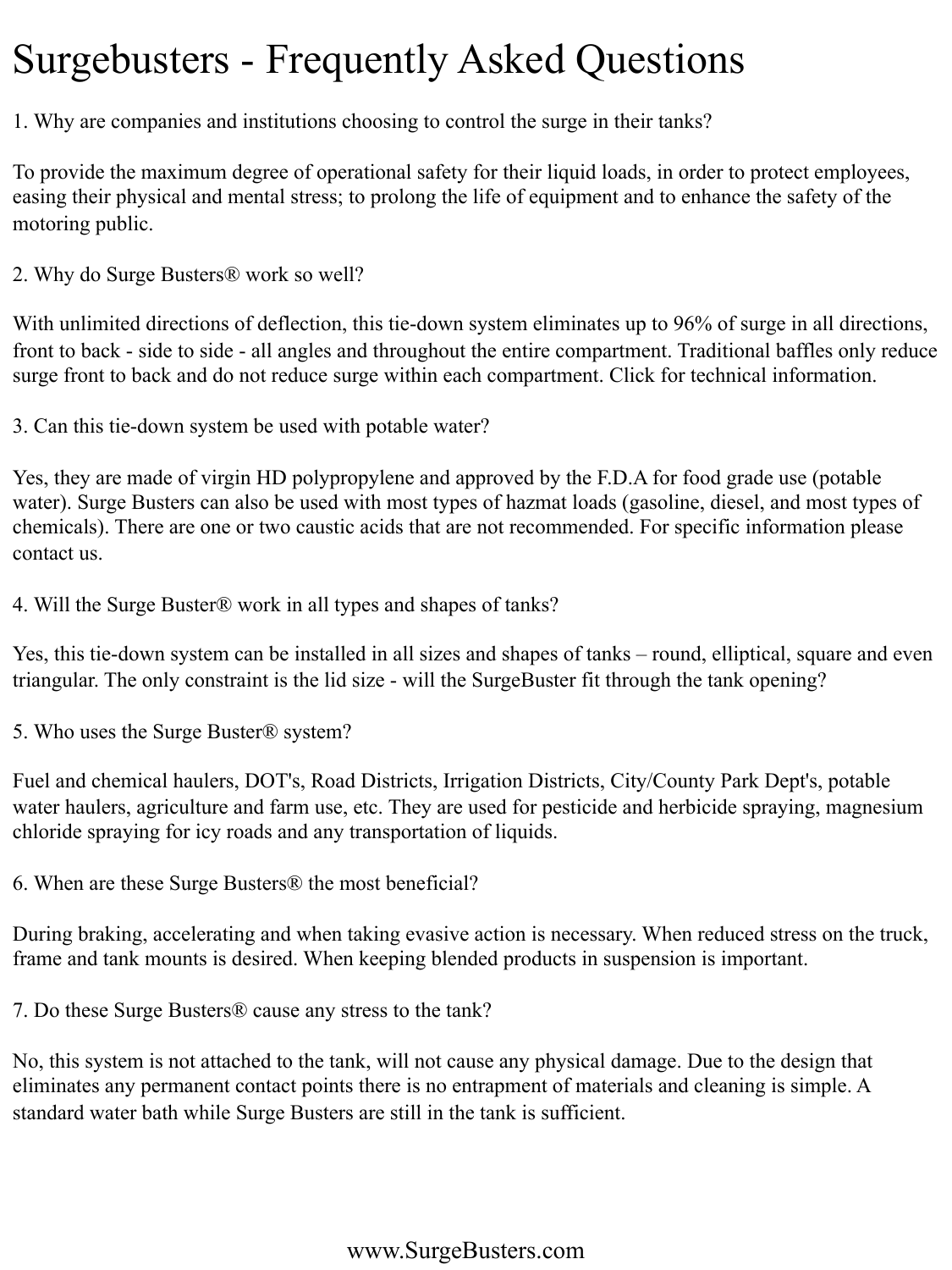### Surgebusters - Frequently Asked Questions

1. Why are companies and institutions choosing to control the surge in their tanks?

To provide the maximum degree of operational safety for their liquid loads, in order to protect employees, easing their physical and mental stress; to prolong the life of equipment and to enhance the safety of the motoring public.

2. Why do Surge Busters® work so well?

With unlimited directions of deflection, this tie-down system eliminates up to 96% of surge in all directions, front to back - side to side - all angles and throughout the entire compartment. Traditional baffles only reduce surge front to back and do not reduce surge within each compartment. Click for technical information.

3. Can this tie-down system be used with potable water?

Yes, they are made of virgin HD polypropylene and approved by the F.D.A for food grade use (potable water). Surge Busters can also be used with most types of hazmat loads (gasoline, diesel, and most types of chemicals). There are one or two caustic acids that are not recommended. For specific information please contact us.

4. Will the Surge Buster® work in all types and shapes of tanks?

Yes, this tie-down system can be installed in all sizes and shapes of tanks – round, elliptical, square and even triangular. The only constraint is the lid size - will the SurgeBuster fit through the tank opening?

5. Who uses the Surge Buster® system?

Fuel and chemical haulers, DOT's, Road Districts, Irrigation Districts, City/County Park Dept's, potable water haulers, agriculture and farm use, etc. They are used for pesticide and herbicide spraying, magnesium chloride spraying for icy roads and any transportation of liquids.

6. When are these Surge Busters® the most beneficial?

During braking, accelerating and when taking evasive action is necessary. When reduced stress on the truck, frame and tank mounts is desired. When keeping blended products in suspension is important.

7. Do these Surge Busters® cause any stress to the tank?

No, this system is not attached to the tank, will not cause any physical damage. Due to the design that eliminates any permanent contact points there is no entrapment of materials and cleaning is simple. A standard water bath while Surge Busters are still in the tank is sufficient.

#### www.SurgeBusters.com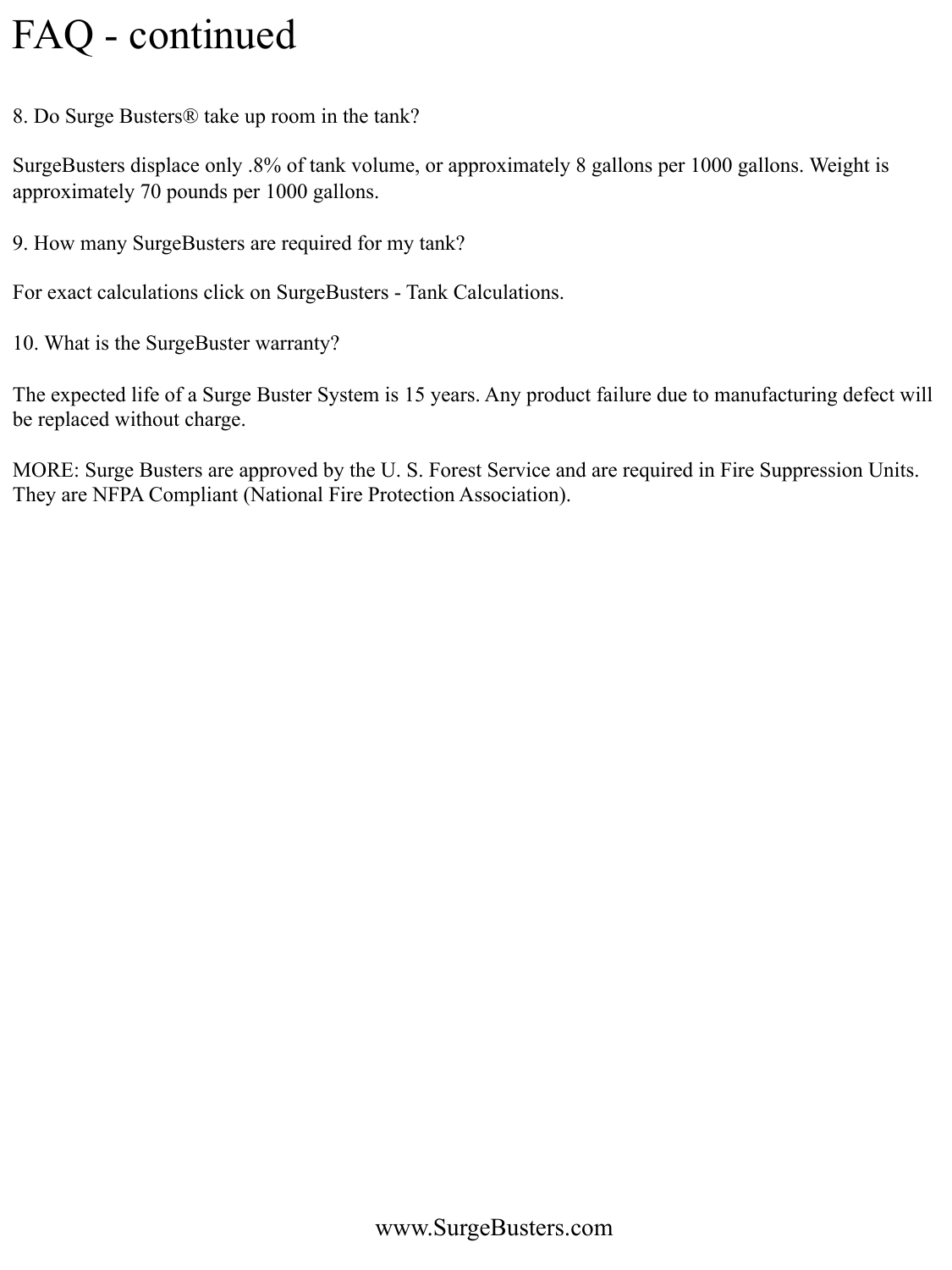### FAQ - continued

8. Do Surge Busters® take up room in the tank?

SurgeBusters displace only .8% of tank volume, or approximately 8 gallons per 1000 gallons. Weight is approximately 70 pounds per 1000 gallons.

9. How many SurgeBusters are required for my tank?

For exact calculations click on SurgeBusters - Tank Calculations.

10. What is the SurgeBuster warranty?

The expected life of a Surge Buster System is 15 years. Any product failure due to manufacturing defect will be replaced without charge.

MORE: Surge Busters are approved by the U. S. Forest Service and are required in Fire Suppression Units. They are NFPA Compliant (National Fire Protection Association).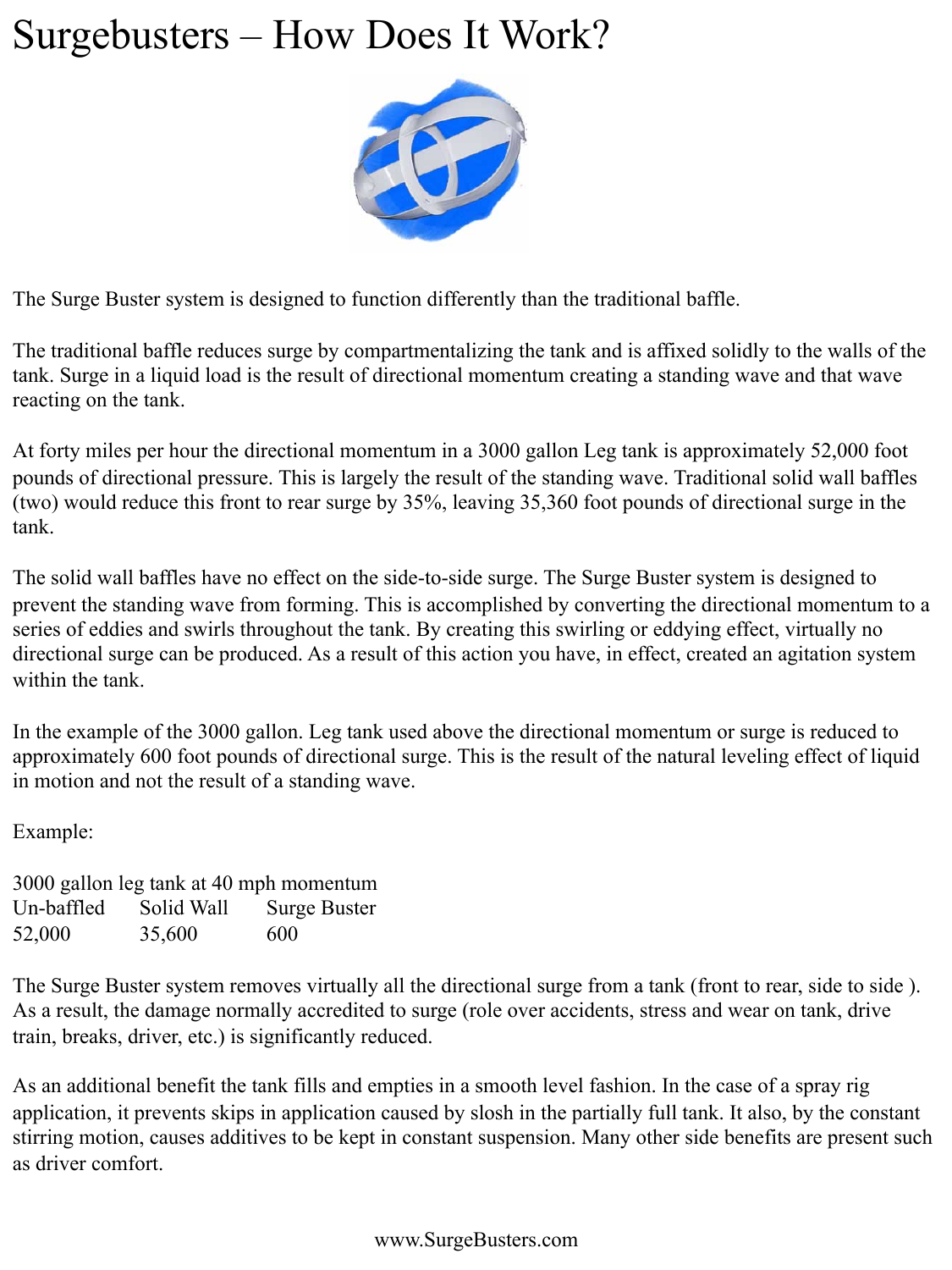### Surgebusters – How Does It Work?



The Surge Buster system is designed to function differently than the traditional baffle.

The traditional baffle reduces surge by compartmentalizing the tank and is affixed solidly to the walls of the tank. Surge in a liquid load is the result of directional momentum creating a standing wave and that wave reacting on the tank.

At forty miles per hour the directional momentum in a 3000 gallon Leg tank is approximately 52,000 foot pounds of directional pressure. This is largely the result of the standing wave. Traditional solid wall baffles (two) would reduce this front to rear surge by 35%, leaving 35,360 foot pounds of directional surge in the tank.

The solid wall baffles have no effect on the side-to-side surge. The Surge Buster system is designed to prevent the standing wave from forming. This is accomplished by converting the directional momentum to a series of eddies and swirls throughout the tank. By creating this swirling or eddying effect, virtually no directional surge can be produced. As a result of this action you have, in effect, created an agitation system within the tank.

In the example of the 3000 gallon. Leg tank used above the directional momentum or surge is reduced to approximately 600 foot pounds of directional surge. This is the result of the natural leveling effect of liquid in motion and not the result of a standing wave.

Example:

3000 gallon leg tank at 40 mph momentum Un-baffled Solid Wall Surge Buster 52,000 35,600 600

The Surge Buster system removes virtually all the directional surge from a tank (front to rear, side to side ). As a result, the damage normally accredited to surge (role over accidents, stress and wear on tank, drive train, breaks, driver, etc.) is significantly reduced.

As an additional benefit the tank fills and empties in a smooth level fashion. In the case of a spray rig application, it prevents skips in application caused by slosh in the partially full tank. It also, by the constant stirring motion, causes additives to be kept in constant suspension. Many other side benefits are present such as driver comfort.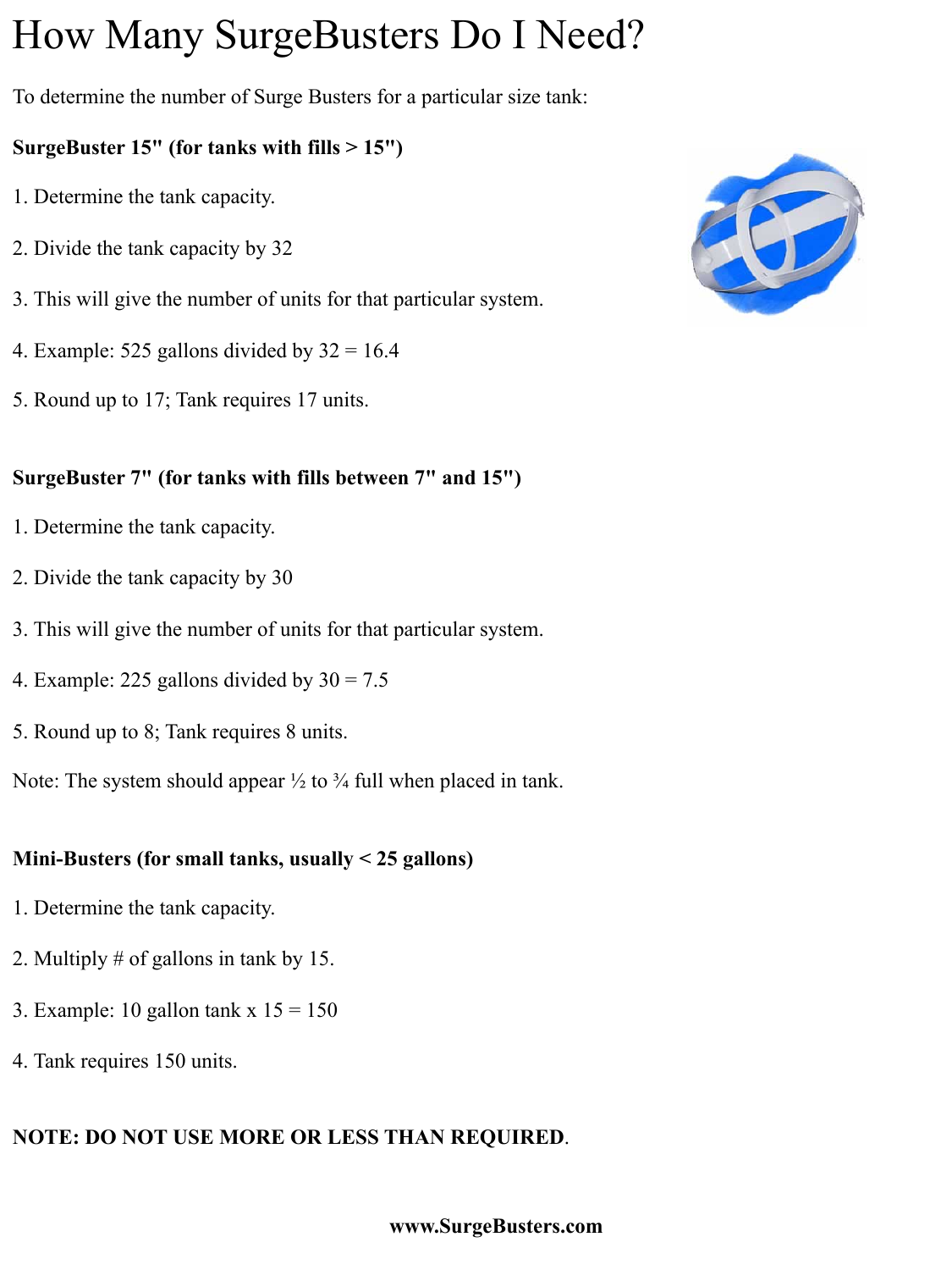## How Many SurgeBusters Do I Need?

To determine the number of Surge Busters for a particular size tank:

#### **SurgeBuster 15" (for tanks with fills > 15")**

- 1. Determine the tank capacity.
- 2. Divide the tank capacity by 32
- 3. This will give the number of units for that particular system.
- 4. Example: 525 gallons divided by  $32 = 16.4$
- 5. Round up to 17; Tank requires 17 units.

#### **SurgeBuster 7" (for tanks with fills between 7" and 15")**

- 1. Determine the tank capacity.
- 2. Divide the tank capacity by 30
- 3. This will give the number of units for that particular system.
- 4. Example: 225 gallons divided by  $30 = 7.5$
- 5. Round up to 8; Tank requires 8 units.

Note: The system should appear  $\frac{1}{2}$  to  $\frac{3}{4}$  full when placed in tank.

#### **Mini-Busters (for small tanks, usually < 25 gallons)**

- 1. Determine the tank capacity.
- 2. Multiply # of gallons in tank by 15.
- 3. Example: 10 gallon tank  $x 15 = 150$
- 4. Tank requires 150 units.

### **NOTE: DO NOT USE MORE OR LESS THAN REQUIRED**.



#### **www.SurgeBusters.com**